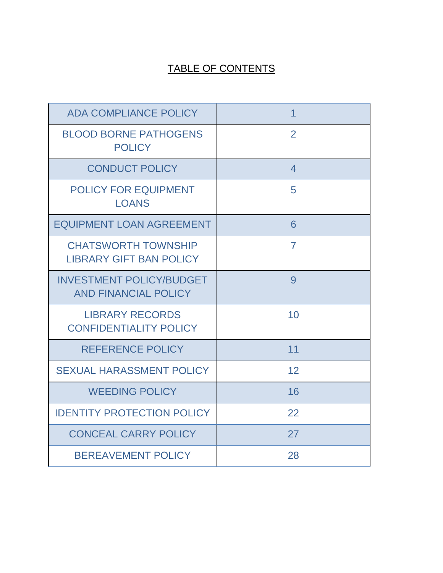# TABLE OF CONTENTS

| <b>ADA COMPLIANCE POLICY</b>                                   | 1              |
|----------------------------------------------------------------|----------------|
| <b>BLOOD BORNE PATHOGENS</b><br><b>POLICY</b>                  | $\overline{2}$ |
| <b>CONDUCT POLICY</b>                                          | $\overline{4}$ |
| <b>POLICY FOR EQUIPMENT</b><br><b>LOANS</b>                    | 5              |
| <b>EQUIPMENT LOAN AGREEMENT</b>                                | 6              |
| <b>CHATSWORTH TOWNSHIP</b><br><b>LIBRARY GIFT BAN POLICY</b>   | $\overline{7}$ |
| <b>INVESTMENT POLICY/BUDGET</b><br><b>AND FINANCIAL POLICY</b> | 9              |
| <b>LIBRARY RECORDS</b><br><b>CONFIDENTIALITY POLICY</b>        | 10             |
| <b>REFERENCE POLICY</b>                                        | 11             |
| <b>SEXUAL HARASSMENT POLICY</b>                                | 12             |
| <b>WEEDING POLICY</b>                                          | 16             |
| <b>IDENTITY PROTECTION POLICY</b>                              | 22             |
| <b>CONCEAL CARRY POLICY</b>                                    | 27             |
| <b>BEREAVEMENT POLICY</b>                                      | 28             |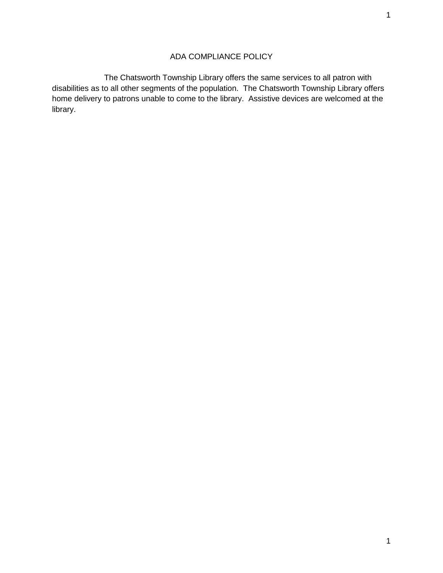# ADA COMPLIANCE POLICY

 The Chatsworth Township Library offers the same services to all patron with disabilities as to all other segments of the population. The Chatsworth Township Library offers home delivery to patrons unable to come to the library. Assistive devices are welcomed at the library.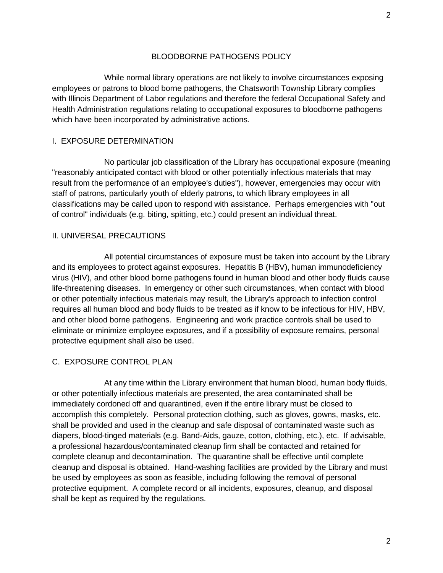### BLOODBORNE PATHOGENS POLICY

 While normal library operations are not likely to involve circumstances exposing employees or patrons to blood borne pathogens, the Chatsworth Township Library complies with Illinois Department of Labor regulations and therefore the federal Occupational Safety and Health Administration regulations relating to occupational exposures to bloodborne pathogens which have been incorporated by administrative actions.

### I. EXPOSURE DETERMINATION

 No particular job classification of the Library has occupational exposure (meaning "reasonably anticipated contact with blood or other potentially infectious materials that may result from the performance of an employee's duties"), however, emergencies may occur with staff of patrons, particularly youth of elderly patrons, to which library employees in all classifications may be called upon to respond with assistance. Perhaps emergencies with "out of control" individuals (e.g. biting, spitting, etc.) could present an individual threat.

#### II. UNIVERSAL PRECAUTIONS

 All potential circumstances of exposure must be taken into account by the Library and its employees to protect against exposures. Hepatitis B (HBV), human immunodeficiency virus (HIV), and other blood borne pathogens found in human blood and other body fluids cause life-threatening diseases. In emergency or other such circumstances, when contact with blood or other potentially infectious materials may result, the Library's approach to infection control requires all human blood and body fluids to be treated as if know to be infectious for HIV, HBV, and other blood borne pathogens. Engineering and work practice controls shall be used to eliminate or minimize employee exposures, and if a possibility of exposure remains, personal protective equipment shall also be used.

### C. EXPOSURE CONTROL PLAN

 At any time within the Library environment that human blood, human body fluids, or other potentially infectious materials are presented, the area contaminated shall be immediately cordoned off and quarantined, even if the entire library must be closed to accomplish this completely. Personal protection clothing, such as gloves, gowns, masks, etc. shall be provided and used in the cleanup and safe disposal of contaminated waste such as diapers, blood-tinged materials (e.g. Band-Aids, gauze, cotton, clothing, etc.), etc. If advisable, a professional hazardous/contaminated cleanup firm shall be contacted and retained for complete cleanup and decontamination. The quarantine shall be effective until complete cleanup and disposal is obtained. Hand-washing facilities are provided by the Library and must be used by employees as soon as feasible, including following the removal of personal protective equipment. A complete record or all incidents, exposures, cleanup, and disposal shall be kept as required by the regulations.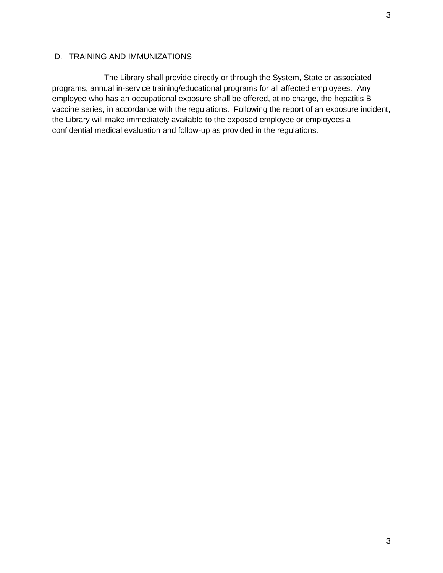The Library shall provide directly or through the System, State or associated programs, annual in-service training/educational programs for all affected employees. Any employee who has an occupational exposure shall be offered, at no charge, the hepatitis B vaccine series, in accordance with the regulations. Following the report of an exposure incident, the Library will make immediately available to the exposed employee or employees a confidential medical evaluation and follow-up as provided in the regulations.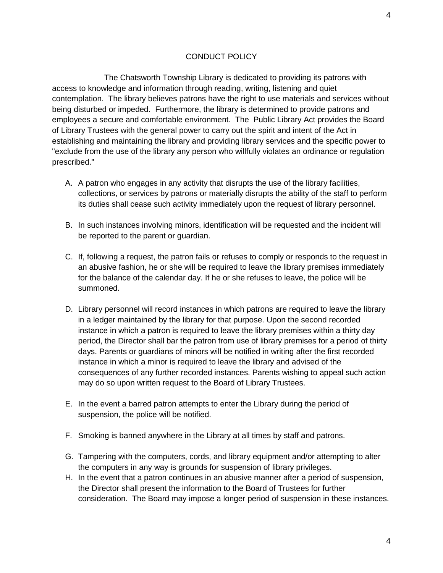### CONDUCT POLICY

 The Chatsworth Township Library is dedicated to providing its patrons with access to knowledge and information through reading, writing, listening and quiet contemplation. The library believes patrons have the right to use materials and services without being disturbed or impeded. Furthermore, the library is determined to provide patrons and employees a secure and comfortable environment. The Public Library Act provides the Board of Library Trustees with the general power to carry out the spirit and intent of the Act in establishing and maintaining the library and providing library services and the specific power to "exclude from the use of the library any person who willfully violates an ordinance or regulation prescribed."

- A. A patron who engages in any activity that disrupts the use of the library facilities, collections, or services by patrons or materially disrupts the ability of the staff to perform its duties shall cease such activity immediately upon the request of library personnel.
- B. In such instances involving minors, identification will be requested and the incident will be reported to the parent or guardian.
- C. If, following a request, the patron fails or refuses to comply or responds to the request in an abusive fashion, he or she will be required to leave the library premises immediately for the balance of the calendar day. If he or she refuses to leave, the police will be summoned.
- D. Library personnel will record instances in which patrons are required to leave the library in a ledger maintained by the library for that purpose. Upon the second recorded instance in which a patron is required to leave the library premises within a thirty day period, the Director shall bar the patron from use of library premises for a period of thirty days. Parents or guardians of minors will be notified in writing after the first recorded instance in which a minor is required to leave the library and advised of the consequences of any further recorded instances. Parents wishing to appeal such action may do so upon written request to the Board of Library Trustees.
- E. In the event a barred patron attempts to enter the Library during the period of suspension, the police will be notified.
- F. Smoking is banned anywhere in the Library at all times by staff and patrons.
- G. Tampering with the computers, cords, and library equipment and/or attempting to alter the computers in any way is grounds for suspension of library privileges.
- H. In the event that a patron continues in an abusive manner after a period of suspension, the Director shall present the information to the Board of Trustees for further consideration. The Board may impose a longer period of suspension in these instances.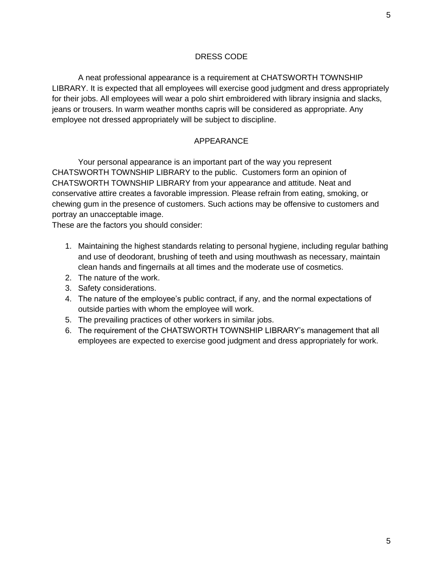A neat professional appearance is a requirement at CHATSWORTH TOWNSHIP LIBRARY. It is expected that all employees will exercise good judgment and dress appropriately for their jobs. All employees will wear a polo shirt embroidered with library insignia and slacks, jeans or trousers. In warm weather months capris will be considered as appropriate. Any employee not dressed appropriately will be subject to discipline.

### APPEARANCE

Your personal appearance is an important part of the way you represent CHATSWORTH TOWNSHIP LIBRARY to the public. Customers form an opinion of CHATSWORTH TOWNSHIP LIBRARY from your appearance and attitude. Neat and conservative attire creates a favorable impression. Please refrain from eating, smoking, or chewing gum in the presence of customers. Such actions may be offensive to customers and portray an unacceptable image.

These are the factors you should consider:

- 1. Maintaining the highest standards relating to personal hygiene, including regular bathing and use of deodorant, brushing of teeth and using mouthwash as necessary, maintain clean hands and fingernails at all times and the moderate use of cosmetics.
- 2. The nature of the work.
- 3. Safety considerations.
- 4. The nature of the employee's public contract, if any, and the normal expectations of outside parties with whom the employee will work.
- 5. The prevailing practices of other workers in similar jobs.
- 6. The requirement of the CHATSWORTH TOWNSHIP LIBRARY's management that all employees are expected to exercise good judgment and dress appropriately for work.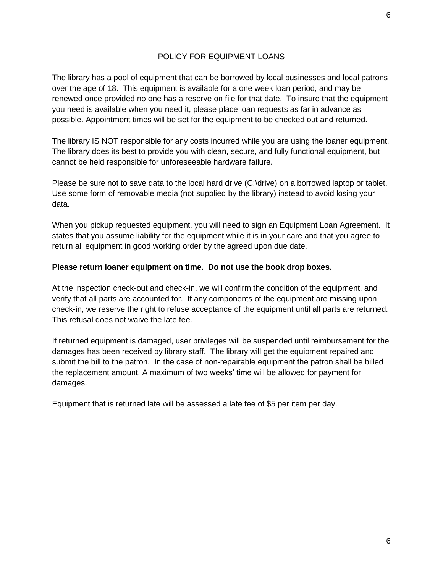### POLICY FOR EQUIPMENT LOANS

The library has a pool of equipment that can be borrowed by local businesses and local patrons over the age of 18. This equipment is available for a one week loan period, and may be renewed once provided no one has a reserve on file for that date. To insure that the equipment you need is available when you need it, please place loan requests as far in advance as possible. Appointment times will be set for the equipment to be checked out and returned.

The library IS NOT responsible for any costs incurred while you are using the loaner equipment. The library does its best to provide you with clean, secure, and fully functional equipment, but cannot be held responsible for unforeseeable hardware failure.

Please be sure not to save data to the local hard drive (C:\drive) on a borrowed laptop or tablet. Use some form of removable media (not supplied by the library) instead to avoid losing your data.

When you pickup requested equipment, you will need to sign an Equipment Loan Agreement. It states that you assume liability for the equipment while it is in your care and that you agree to return all equipment in good working order by the agreed upon due date.

### **Please return loaner equipment on time. Do not use the book drop boxes.**

At the inspection check-out and check-in, we will confirm the condition of the equipment, and verify that all parts are accounted for. If any components of the equipment are missing upon check-in, we reserve the right to refuse acceptance of the equipment until all parts are returned. This refusal does not waive the late fee.

If returned equipment is damaged, user privileges will be suspended until reimbursement for the damages has been received by library staff. The library will get the equipment repaired and submit the bill to the patron. In the case of non-repairable equipment the patron shall be billed the replacement amount. A maximum of two weeks' time will be allowed for payment for damages.

Equipment that is returned late will be assessed a late fee of \$5 per item per day.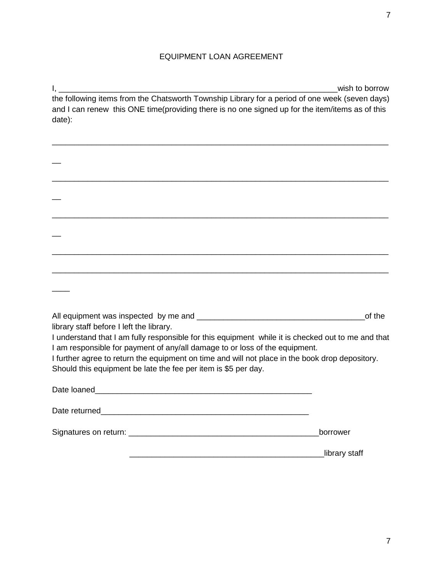# EQUIPMENT LOAN AGREEMENT

I, \_\_\_\_\_\_\_\_\_\_\_\_\_\_\_\_\_\_\_\_\_\_\_\_\_\_\_\_\_\_\_\_\_\_\_\_\_\_\_\_\_\_\_\_\_\_\_\_\_\_\_\_\_\_\_\_\_\_\_\_\_\_\_wish to borrow the following items from the Chatsworth Township Library for a period of one week (seven days) and I can renew this ONE time(providing there is no one signed up for the item/items as of this date):

\_\_\_\_\_\_\_\_\_\_\_\_\_\_\_\_\_\_\_\_\_\_\_\_\_\_\_\_\_\_\_\_\_\_\_\_\_\_\_\_\_\_\_\_\_\_\_\_\_\_\_\_\_\_\_\_\_\_\_\_\_\_\_\_\_\_\_\_\_\_\_\_\_\_\_\_

| library staff before I left the library.                                                                                                                                          | of the        |
|-----------------------------------------------------------------------------------------------------------------------------------------------------------------------------------|---------------|
| I understand that I am fully responsible for this equipment while it is checked out to me and that<br>I am responsible for payment of any/all damage to or loss of the equipment. |               |
| I further agree to return the equipment on time and will not place in the book drop depository.<br>Should this equipment be late the fee per item is \$5 per day.                 |               |
|                                                                                                                                                                                   |               |
|                                                                                                                                                                                   |               |
|                                                                                                                                                                                   |               |
|                                                                                                                                                                                   | borrower      |
|                                                                                                                                                                                   | library staff |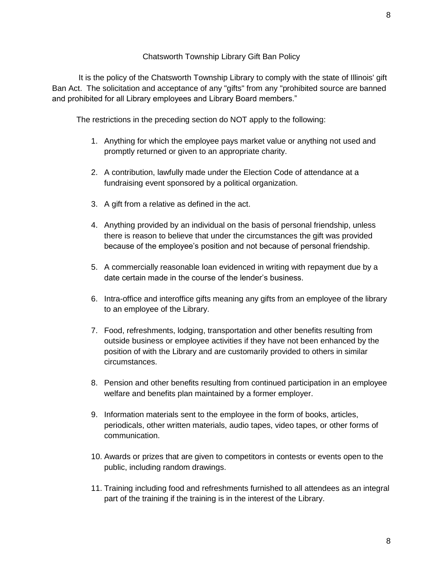### Chatsworth Township Library Gift Ban Policy

 It is the policy of the Chatsworth Township Library to comply with the state of Illinois' gift Ban Act. The solicitation and acceptance of any "gifts" from any "prohibited source are banned and prohibited for all Library employees and Library Board members."

The restrictions in the preceding section do NOT apply to the following:

- 1. Anything for which the employee pays market value or anything not used and promptly returned or given to an appropriate charity.
- 2. A contribution, lawfully made under the Election Code of attendance at a fundraising event sponsored by a political organization.
- 3. A gift from a relative as defined in the act.
- 4. Anything provided by an individual on the basis of personal friendship, unless there is reason to believe that under the circumstances the gift was provided because of the employee's position and not because of personal friendship.
- 5. A commercially reasonable loan evidenced in writing with repayment due by a date certain made in the course of the lender's business.
- 6. Intra-office and interoffice gifts meaning any gifts from an employee of the library to an employee of the Library.
- 7. Food, refreshments, lodging, transportation and other benefits resulting from outside business or employee activities if they have not been enhanced by the position of with the Library and are customarily provided to others in similar circumstances.
- 8. Pension and other benefits resulting from continued participation in an employee welfare and benefits plan maintained by a former employer.
- 9. Information materials sent to the employee in the form of books, articles, periodicals, other written materials, audio tapes, video tapes, or other forms of communication.
- 10. Awards or prizes that are given to competitors in contests or events open to the public, including random drawings.
- 11. Training including food and refreshments furnished to all attendees as an integral part of the training if the training is in the interest of the Library.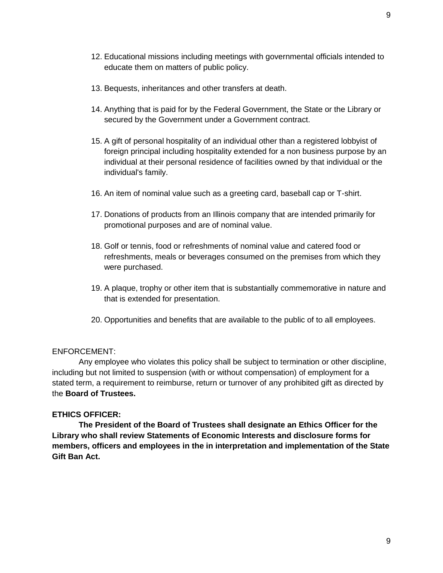- 12. Educational missions including meetings with governmental officials intended to educate them on matters of public policy.
- 13. Bequests, inheritances and other transfers at death.
- 14. Anything that is paid for by the Federal Government, the State or the Library or secured by the Government under a Government contract.
- 15. A gift of personal hospitality of an individual other than a registered lobbyist of foreign principal including hospitality extended for a non business purpose by an individual at their personal residence of facilities owned by that individual or the individual's family.
- 16. An item of nominal value such as a greeting card, baseball cap or T-shirt.
- 17. Donations of products from an Illinois company that are intended primarily for promotional purposes and are of nominal value.
- 18. Golf or tennis, food or refreshments of nominal value and catered food or refreshments, meals or beverages consumed on the premises from which they were purchased.
- 19. A plaque, trophy or other item that is substantially commemorative in nature and that is extended for presentation.
- 20. Opportunities and benefits that are available to the public of to all employees.

#### ENFORCEMENT:

 Any employee who violates this policy shall be subject to termination or other discipline, including but not limited to suspension (with or without compensation) of employment for a stated term, a requirement to reimburse, return or turnover of any prohibited gift as directed by the **Board of Trustees.**

### **ETHICS OFFICER:**

 **The President of the Board of Trustees shall designate an Ethics Officer for the Library who shall review Statements of Economic Interests and disclosure forms for members, officers and employees in the in interpretation and implementation of the State Gift Ban Act.**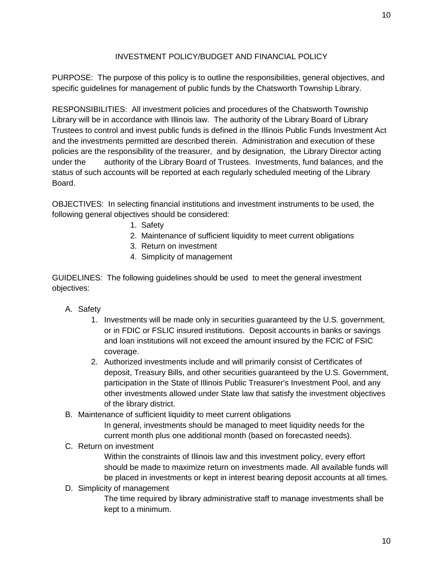### INVESTMENT POLICY/BUDGET AND FINANCIAL POLICY

PURPOSE: The purpose of this policy is to outline the responsibilities, general objectives, and specific guidelines for management of public funds by the Chatsworth Township Library.

RESPONSIBILITIES: All investment policies and procedures of the Chatsworth Township Library will be in accordance with Illinois law. The authority of the Library Board of Library Trustees to control and invest public funds is defined in the Illinois Public Funds Investment Act and the investments permitted are described therein. Administration and execution of these policies are the responsibility of the treasurer, and by designation, the Library Director acting under the authority of the Library Board of Trustees. Investments, fund balances, and the status of such accounts will be reported at each regularly scheduled meeting of the Library Board.

OBJECTIVES: In selecting financial institutions and investment instruments to be used, the following general objectives should be considered:

- 1. Safety
- 2. Maintenance of sufficient liquidity to meet current obligations
- 3. Return on investment
- 4. Simplicity of management

GUIDELINES: The following guidelines should be used to meet the general investment objectives:

- A. Safety
	- 1. Investments will be made only in securities guaranteed by the U.S. government, or in FDIC or FSLIC insured institutions. Deposit accounts in banks or savings and loan institutions will not exceed the amount insured by the FCIC of FSIC coverage.
	- 2. Authorized investments include and will primarily consist of Certificates of deposit, Treasury Bills, and other securities guaranteed by the U.S. Government, participation in the State of Illinois Public Treasurer's Investment Pool, and any other investments allowed under State law that satisfy the investment objectives of the library district.
- B. Maintenance of sufficient liquidity to meet current obligations

In general, investments should be managed to meet liquidity needs for the current month plus one additional month (based on forecasted needs).

### C. Return on investment

Within the constraints of Illinois law and this investment policy, every effort should be made to maximize return on investments made. All available funds will be placed in investments or kept in interest bearing deposit accounts at all times.

D. Simplicity of management

The time required by library administrative staff to manage investments shall be kept to a minimum.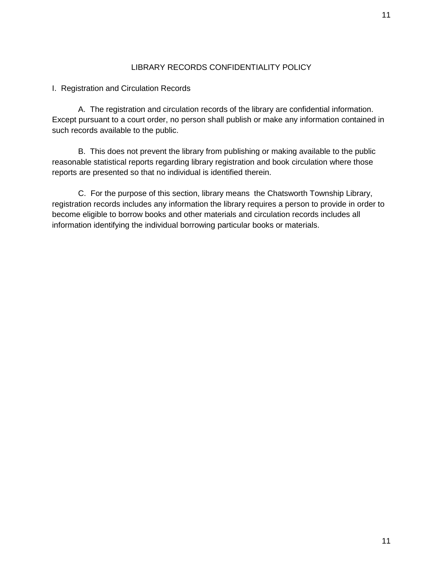### LIBRARY RECORDS CONFIDENTIALITY POLICY

I. Registration and Circulation Records

A. The registration and circulation records of the library are confidential information. Except pursuant to a court order, no person shall publish or make any information contained in such records available to the public.

B. This does not prevent the library from publishing or making available to the public reasonable statistical reports regarding library registration and book circulation where those reports are presented so that no individual is identified therein.

C. For the purpose of this section, library means the Chatsworth Township Library, registration records includes any information the library requires a person to provide in order to become eligible to borrow books and other materials and circulation records includes all information identifying the individual borrowing particular books or materials.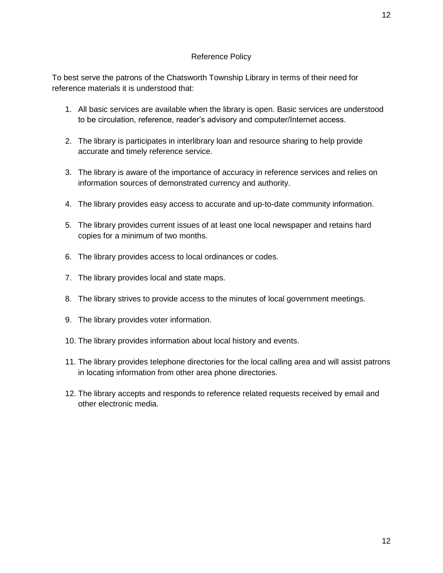### Reference Policy

To best serve the patrons of the Chatsworth Township Library in terms of their need for reference materials it is understood that:

- 1. All basic services are available when the library is open. Basic services are understood to be circulation, reference, reader's advisory and computer/Internet access.
- 2. The library is participates in interlibrary loan and resource sharing to help provide accurate and timely reference service.
- 3. The library is aware of the importance of accuracy in reference services and relies on information sources of demonstrated currency and authority.
- 4. The library provides easy access to accurate and up-to-date community information.
- 5. The library provides current issues of at least one local newspaper and retains hard copies for a minimum of two months.
- 6. The library provides access to local ordinances or codes.
- 7. The library provides local and state maps.
- 8. The library strives to provide access to the minutes of local government meetings.
- 9. The library provides voter information.
- 10. The library provides information about local history and events.
- 11. The library provides telephone directories for the local calling area and will assist patrons in locating information from other area phone directories.
- 12. The library accepts and responds to reference related requests received by email and other electronic media.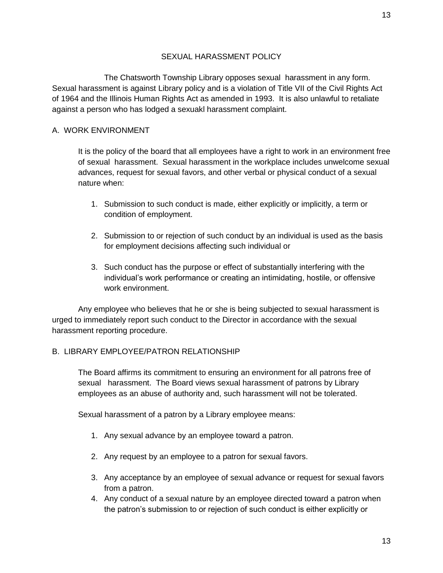13

# SEXUAL HARASSMENT POLICY

 The Chatsworth Township Library opposes sexual harassment in any form. Sexual harassment is against Library policy and is a violation of Title VII of the Civil Rights Act of 1964 and the Illinois Human Rights Act as amended in 1993. It is also unlawful to retaliate against a person who has lodged a sexuakl harassment complaint.

# A. WORK ENVIRONMENT

It is the policy of the board that all employees have a right to work in an environment free of sexual harassment. Sexual harassment in the workplace includes unwelcome sexual advances, request for sexual favors, and other verbal or physical conduct of a sexual nature when:

- 1. Submission to such conduct is made, either explicitly or implicitly, a term or condition of employment.
- 2. Submission to or rejection of such conduct by an individual is used as the basis for employment decisions affecting such individual or
- 3. Such conduct has the purpose or effect of substantially interfering with the individual's work performance or creating an intimidating, hostile, or offensive work environment.

Any employee who believes that he or she is being subjected to sexual harassment is urged to immediately report such conduct to the Director in accordance with the sexual harassment reporting procedure.

# B. LIBRARY EMPLOYEE/PATRON RELATIONSHIP

The Board affirms its commitment to ensuring an environment for all patrons free of sexual harassment. The Board views sexual harassment of patrons by Library employees as an abuse of authority and, such harassment will not be tolerated.

Sexual harassment of a patron by a Library employee means:

- 1. Any sexual advance by an employee toward a patron.
- 2. Any request by an employee to a patron for sexual favors.
- 3. Any acceptance by an employee of sexual advance or request for sexual favors from a patron.
- 4. Any conduct of a sexual nature by an employee directed toward a patron when the patron's submission to or rejection of such conduct is either explicitly or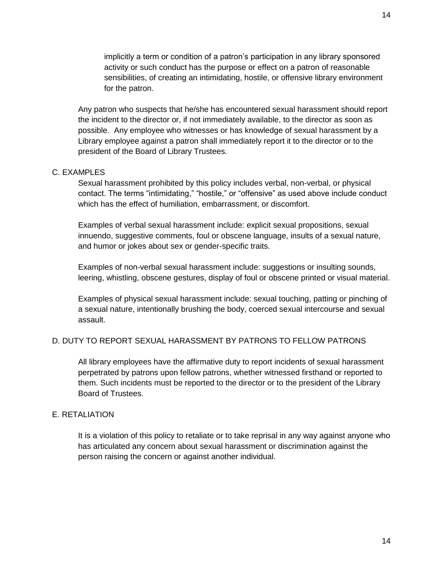implicitly a term or condition of a patron's participation in any library sponsored activity or such conduct has the purpose or effect on a patron of reasonable sensibilities, of creating an intimidating, hostile, or offensive library environment for the patron.

Any patron who suspects that he/she has encountered sexual harassment should report the incident to the director or, if not immediately available, to the director as soon as possible. Any employee who witnesses or has knowledge of sexual harassment by a Library employee against a patron shall immediately report it to the director or to the president of the Board of Library Trustees.

### C. EXAMPLES

Sexual harassment prohibited by this policy includes verbal, non-verbal, or physical contact. The terms "intimidating," "hostile," or "offensive" as used above include conduct which has the effect of humiliation, embarrassment, or discomfort.

Examples of verbal sexual harassment include: explicit sexual propositions, sexual innuendo, suggestive comments, foul or obscene language, insults of a sexual nature, and humor or jokes about sex or gender-specific traits.

Examples of non-verbal sexual harassment include: suggestions or insulting sounds, leering, whistling, obscene gestures, display of foul or obscene printed or visual material.

Examples of physical sexual harassment include: sexual touching, patting or pinching of a sexual nature, intentionally brushing the body, coerced sexual intercourse and sexual assault.

### D. DUTY TO REPORT SEXUAL HARASSMENT BY PATRONS TO FELLOW PATRONS

All library employees have the affirmative duty to report incidents of sexual harassment perpetrated by patrons upon fellow patrons, whether witnessed firsthand or reported to them. Such incidents must be reported to the director or to the president of the Library Board of Trustees.

### E. RETALIATION

It is a violation of this policy to retaliate or to take reprisal in any way against anyone who has articulated any concern about sexual harassment or discrimination against the person raising the concern or against another individual.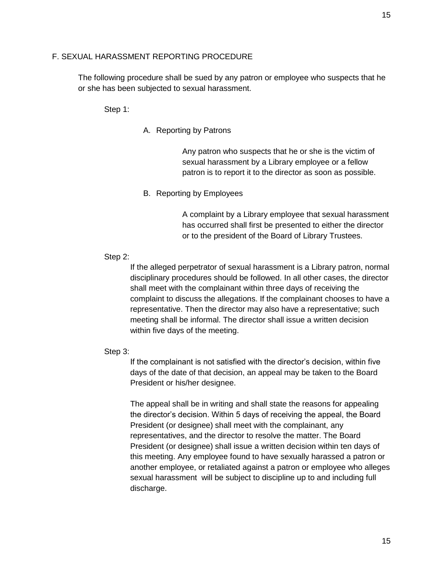### F. SEXUAL HARASSMENT REPORTING PROCEDURE

The following procedure shall be sued by any patron or employee who suspects that he or she has been subjected to sexual harassment.

Step 1:

A. Reporting by Patrons

Any patron who suspects that he or she is the victim of sexual harassment by a Library employee or a fellow patron is to report it to the director as soon as possible.

B. Reporting by Employees

A complaint by a Library employee that sexual harassment has occurred shall first be presented to either the director or to the president of the Board of Library Trustees.

# Step 2:

If the alleged perpetrator of sexual harassment is a Library patron, normal disciplinary procedures should be followed. In all other cases, the director shall meet with the complainant within three days of receiving the complaint to discuss the allegations. If the complainant chooses to have a representative. Then the director may also have a representative; such meeting shall be informal. The director shall issue a written decision within five days of the meeting.

### Step 3:

If the complainant is not satisfied with the director's decision, within five days of the date of that decision, an appeal may be taken to the Board President or his/her designee.

The appeal shall be in writing and shall state the reasons for appealing the director's decision. Within 5 days of receiving the appeal, the Board President (or designee) shall meet with the complainant, any representatives, and the director to resolve the matter. The Board President (or designee) shall issue a written decision within ten days of this meeting. Any employee found to have sexually harassed a patron or another employee, or retaliated against a patron or employee who alleges sexual harassment will be subject to discipline up to and including full discharge.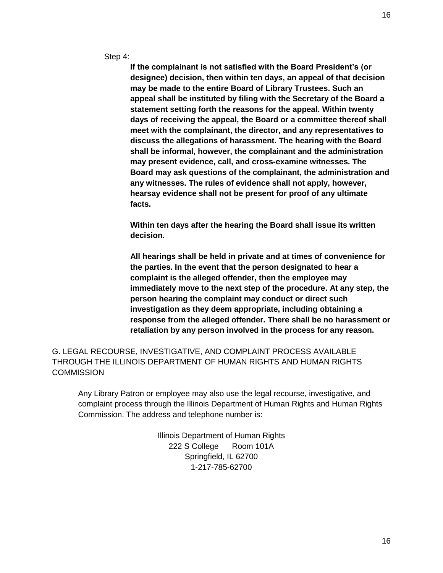Step 4:

**If the complainant is not satisfied with the Board President's (or designee) decision, then within ten days, an appeal of that decision may be made to the entire Board of Library Trustees. Such an appeal shall be instituted by filing with the Secretary of the Board a statement setting forth the reasons for the appeal. Within twenty days of receiving the appeal, the Board or a committee thereof shall meet with the complainant, the director, and any representatives to discuss the allegations of harassment. The hearing with the Board shall be informal, however, the complainant and the administration may present evidence, call, and cross-examine witnesses. The Board may ask questions of the complainant, the administration and any witnesses. The rules of evidence shall not apply, however, hearsay evidence shall not be present for proof of any ultimate facts.**

**Within ten days after the hearing the Board shall issue its written decision.** 

**All hearings shall be held in private and at times of convenience for the parties. In the event that the person designated to hear a complaint is the alleged offender, then the employee may immediately move to the next step of the procedure. At any step, the person hearing the complaint may conduct or direct such investigation as they deem appropriate, including obtaining a response from the alleged offender. There shall be no harassment or retaliation by any person involved in the process for any reason.**

G. LEGAL RECOURSE, INVESTIGATIVE, AND COMPLAINT PROCESS AVAILABLE THROUGH THE ILLINOIS DEPARTMENT OF HUMAN RIGHTS AND HUMAN RIGHTS **COMMISSION** 

Any Library Patron or employee may also use the legal recourse, investigative, and complaint process through the Illinois Department of Human Rights and Human Rights Commission. The address and telephone number is:

> Illinois Department of Human Rights 222 S College Room 101A Springfield, IL 62700 1-217-785-62700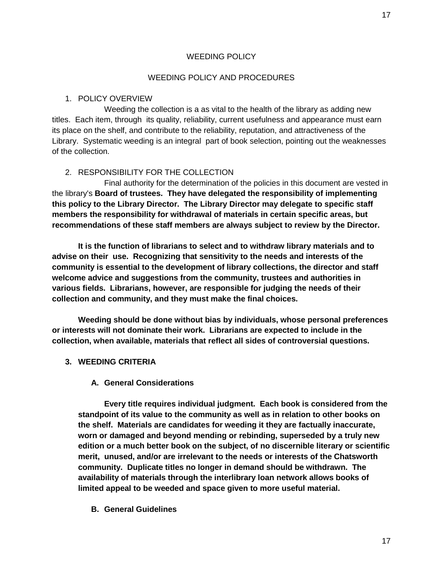### WEEDING POLICY AND PROCEDURES

### 1. POLICY OVERVIEW

Weeding the collection is a as vital to the health of the library as adding new titles. Each item, through its quality, reliability, current usefulness and appearance must earn its place on the shelf, and contribute to the reliability, reputation, and attractiveness of the Library. Systematic weeding is an integral part of book selection, pointing out the weaknesses of the collection.

### 2. RESPONSIBILITY FOR THE COLLECTION

Final authority for the determination of the policies in this document are vested in the library's **Board of trustees. They have delegated the responsibility of implementing this policy to the Library Director. The Library Director may delegate to specific staff members the responsibility for withdrawal of materials in certain specific areas, but recommendations of these staff members are always subject to review by the Director.**

**It is the function of librarians to select and to withdraw library materials and to advise on their use. Recognizing that sensitivity to the needs and interests of the community is essential to the development of library collections, the director and staff welcome advice and suggestions from the community, trustees and authorities in various fields. Librarians, however, are responsible for judging the needs of their collection and community, and they must make the final choices.**

**Weeding should be done without bias by individuals, whose personal preferences or interests will not dominate their work. Librarians are expected to include in the collection, when available, materials that reflect all sides of controversial questions.**

### **3. WEEDING CRITERIA**

### **A. General Considerations**

**Every title requires individual judgment. Each book is considered from the standpoint of its value to the community as well as in relation to other books on the shelf. Materials are candidates for weeding it they are factually inaccurate, worn or damaged and beyond mending or rebinding, superseded by a truly new edition or a much better book on the subject, of no discernible literary or scientific merit, unused, and/or are irrelevant to the needs or interests of the Chatsworth community. Duplicate titles no longer in demand should be withdrawn. The availability of materials through the interlibrary loan network allows books of limited appeal to be weeded and space given to more useful material.**

**B. General Guidelines**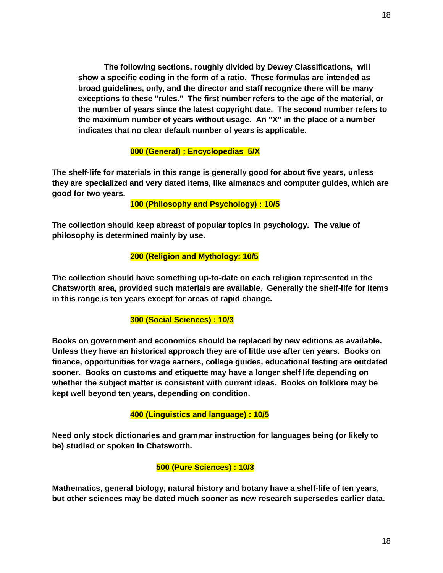**The following sections, roughly divided by Dewey Classifications, will show a specific coding in the form of a ratio. These formulas are intended as broad guidelines, only, and the director and staff recognize there will be many exceptions to these "rules." The first number refers to the age of the material, or the number of years since the latest copyright date. The second number refers to the maximum number of years without usage. An "X" in the place of a number indicates that no clear default number of years is applicable.**

# **000 (General) : Encyclopedias 5/X**

**The shelf-life for materials in this range is generally good for about five years, unless they are specialized and very dated items, like almanacs and computer guides, which are good for two years.**

 **100 (Philosophy and Psychology) : 10/5**

**The collection should keep abreast of popular topics in psychology. The value of philosophy is determined mainly by use.**

# **200 (Religion and Mythology: 10/5**

**The collection should have something up-to-date on each religion represented in the Chatsworth area, provided such materials are available. Generally the shelf-life for items in this range is ten years except for areas of rapid change.**

# **300 (Social Sciences) : 10/3**

**Books on government and economics should be replaced by new editions as available. Unless they have an historical approach they are of little use after ten years. Books on finance, opportunities for wage earners, college guides, educational testing are outdated sooner. Books on customs and etiquette may have a longer shelf life depending on whether the subject matter is consistent with current ideas. Books on folklore may be kept well beyond ten years, depending on condition.**

# **400 (Linguistics and language) : 10/5**

**Need only stock dictionaries and grammar instruction for languages being (or likely to be) studied or spoken in Chatsworth.**

# **500 (Pure Sciences) : 10/3**

**Mathematics, general biology, natural history and botany have a shelf-life of ten years, but other sciences may be dated much sooner as new research supersedes earlier data.**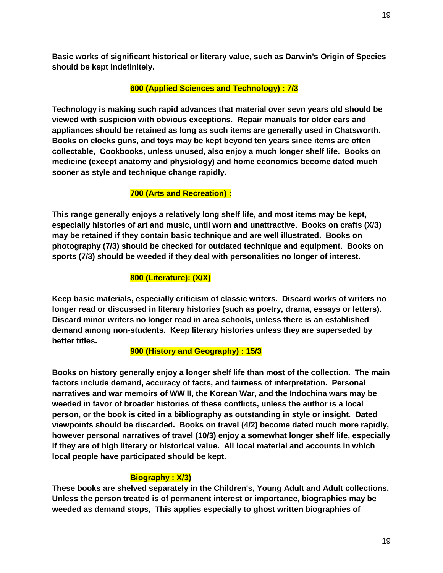**Basic works of significant historical or literary value, such as Darwin's Origin of Species should be kept indefinitely.**

# **600 (Applied Sciences and Technology) : 7/3**

**Technology is making such rapid advances that material over sevn years old should be viewed with suspicion with obvious exceptions. Repair manuals for older cars and appliances should be retained as long as such items are generally used in Chatsworth. Books on clocks guns, and toys may be kept beyond ten years since items are often collectable, Cookbooks, unless unused, also enjoy a much longer shelf life. Books on medicine (except anatomy and physiology) and home economics become dated much sooner as style and technique change rapidly.**

# **700 (Arts and Recreation) :**

**This range generally enjoys a relatively long shelf life, and most items may be kept, especially histories of art and music, until worn and unattractive. Books on crafts (X/3) may be retained if they contain basic technique and are well illustrated. Books on photography (7/3) should be checked for outdated technique and equipment. Books on sports (7/3) should be weeded if they deal with personalities no longer of interest.**

# **800 (Literature): (X/X)**

**Keep basic materials, especially criticism of classic writers. Discard works of writers no longer read or discussed in literary histories (such as poetry, drama, essays or letters). Discard minor writers no longer read in area schools, unless there is an established demand among non-students. Keep literary histories unless they are superseded by better titles.**

# **900 (History and Geography) : 15/3**

**Books on history generally enjoy a longer shelf life than most of the collection. The main factors include demand, accuracy of facts, and fairness of interpretation. Personal narratives and war memoirs of WW II, the Korean War, and the Indochina wars may be weeded in favor of broader histories of these conflicts, unless the author is a local person, or the book is cited in a bibliography as outstanding in style or insight. Dated viewpoints should be discarded. Books on travel (4/2) become dated much more rapidly, however personal narratives of travel (10/3) enjoy a somewhat longer shelf life, especially if they are of high literary or historical value. All local material and accounts in which local people have participated should be kept.**

# **Biography : X/3)**

**These books are shelved separately in the Children's, Young Adult and Adult collections. Unless the person treated is of permanent interest or importance, biographies may be weeded as demand stops, This applies especially to ghost written biographies of**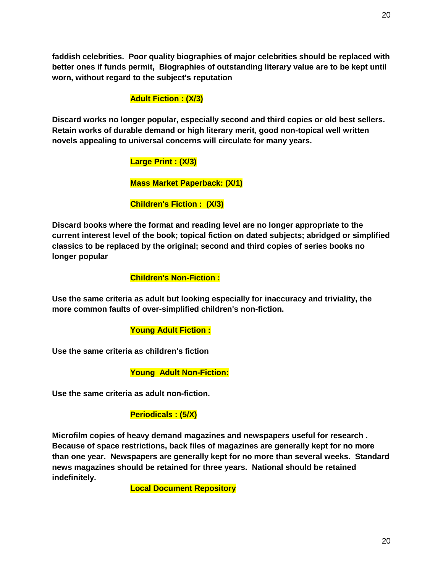**faddish celebrities. Poor quality biographies of major celebrities should be replaced with better ones if funds permit, Biographies of outstanding literary value are to be kept until worn, without regard to the subject's reputation**

# **Adult Fiction : (X/3)**

**Discard works no longer popular, especially second and third copies or old best sellers. Retain works of durable demand or high literary merit, good non-topical well written novels appealing to universal concerns will circulate for many years.**

# **Large Print : (X/3)**

# **Mass Market Paperback: (X/1)**

# **Children's Fiction : (X/3)**

**Discard books where the format and reading level are no longer appropriate to the current interest level of the book; topical fiction on dated subjects; abridged or simplified classics to be replaced by the original; second and third copies of series books no longer popular**

### **Children's Non-Fiction :**

**Use the same criteria as adult but looking especially for inaccuracy and triviality, the more common faults of over-simplified children's non-fiction.**

# **Young Adult Fiction :**

**Use the same criteria as children's fiction**

 **Young Adult Non-Fiction:**

**Use the same criteria as adult non-fiction.**

# **Periodicals : (5/X)**

**Microfilm copies of heavy demand magazines and newspapers useful for research . Because of space restrictions, back files of magazines are generally kept for no more than one year. Newspapers are generally kept for no more than several weeks. Standard news magazines should be retained for three years. National should be retained indefinitely.**

 **Local Document Repository**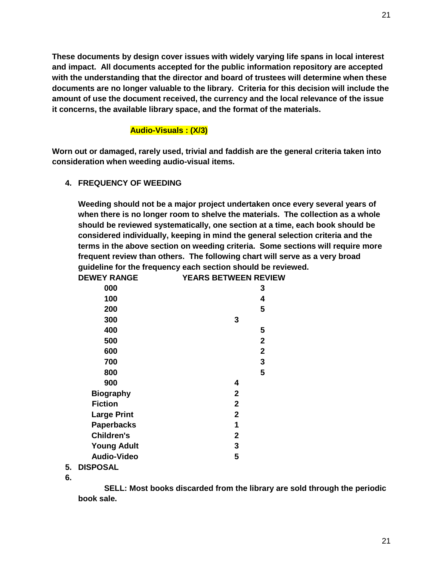**These documents by design cover issues with widely varying life spans in local interest and impact. All documents accepted for the public information repository are accepted with the understanding that the director and board of trustees will determine when these documents are no longer valuable to the library. Criteria for this decision will include the amount of use the document received, the currency and the local relevance of the issue it concerns, the available library space, and the format of the materials.**

### **Audio-Visuals : (X/3)**

**Worn out or damaged, rarely used, trivial and faddish are the general criteria taken into consideration when weeding audio-visual items.** 

**4. FREQUENCY OF WEEDING**

**Weeding should not be a major project undertaken once every several years of when there is no longer room to shelve the materials. The collection as a whole should be reviewed systematically, one section at a time, each book should be considered individually, keeping in mind the general selection criteria and the terms in the above section on weeding criteria. Some sections will require more frequent review than others. The following chart will serve as a very broad guideline for the frequency each section should be reviewed.**

| <b>DEWEY RANGE</b>    | <b>YEARS BETWEEN REVIEW</b> |
|-----------------------|-----------------------------|
| 000                   | 3                           |
| 100                   | 4                           |
| 200                   | 5                           |
| 300                   | 3                           |
| 400                   | 5                           |
| 500                   | $\mathbf 2$                 |
| 600                   | $\mathbf 2$                 |
| 700                   | 3                           |
| 800                   | 5                           |
| 900                   | 4                           |
| <b>Biography</b>      | $\mathbf{2}$                |
| <b>Fiction</b>        | $\mathbf{2}$                |
| <b>Large Print</b>    | $\mathbf{2}$                |
| <b>Paperbacks</b>     | 1                           |
| <b>Children's</b>     | $\mathbf{2}$                |
| <b>Young Adult</b>    | 3                           |
| <b>Audio-Video</b>    | 5                           |
| <b>DIODOO AI</b><br>┍ |                             |

- **5. DISPOSAL**
- **6.**

**SELL: Most books discarded from the library are sold through the periodic book sale.**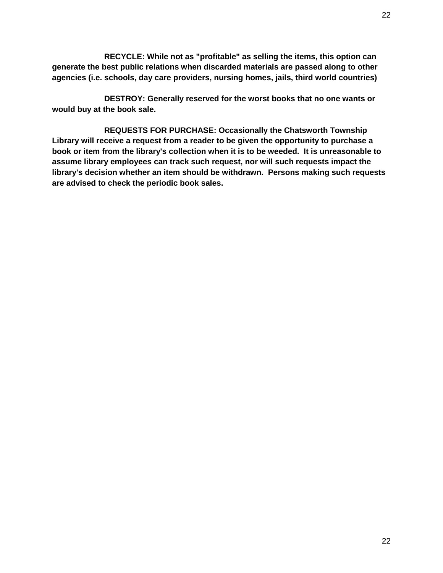**RECYCLE: While not as "profitable" as selling the items, this option can generate the best public relations when discarded materials are passed along to other agencies (i.e. schools, day care providers, nursing homes, jails, third world countries)**

 **DESTROY: Generally reserved for the worst books that no one wants or would buy at the book sale.**

 **REQUESTS FOR PURCHASE: Occasionally the Chatsworth Township Library will receive a request from a reader to be given the opportunity to purchase a book or item from the library's collection when it is to be weeded. It is unreasonable to assume library employees can track such request, nor will such requests impact the library's decision whether an item should be withdrawn. Persons making such requests are advised to check the periodic book sales.**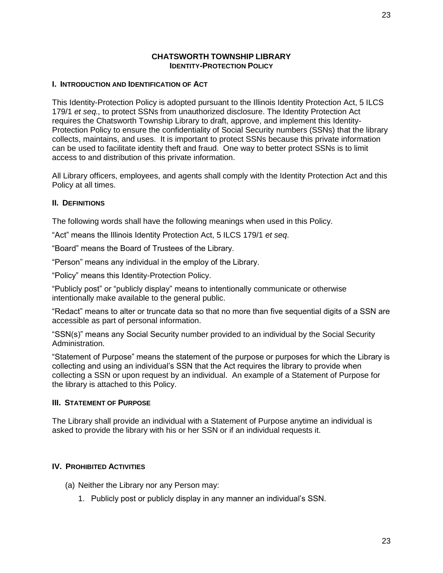### **CHATSWORTH TOWNSHIP LIBRARY IDENTITY-PROTECTION POLICY**

### **I. INTRODUCTION AND IDENTIFICATION OF ACT**

This Identity-Protection Policy is adopted pursuant to the Illinois Identity Protection Act, 5 ILCS 179/1 *et seq.,* to protect SSNs from unauthorized disclosure. The Identity Protection Act requires the Chatsworth Township Library to draft, approve, and implement this Identity-Protection Policy to ensure the confidentiality of Social Security numbers (SSNs) that the library collects, maintains, and uses. It is important to protect SSNs because this private information can be used to facilitate identity theft and fraud. One way to better protect SSNs is to limit access to and distribution of this private information.

All Library officers, employees, and agents shall comply with the Identity Protection Act and this Policy at all times.

### **II. DEFINITIONS**

The following words shall have the following meanings when used in this Policy.

"Act" means the Illinois Identity Protection Act, 5 ILCS 179/1 *et seq*.

"Board" means the Board of Trustees of the Library.

"Person" means any individual in the employ of the Library.

"Policy" means this Identity-Protection Policy.

"Publicly post" or "publicly display" means to intentionally communicate or otherwise intentionally make available to the general public.

"Redact" means to alter or truncate data so that no more than five sequential digits of a SSN are accessible as part of personal information.

"SSN(s)" means any Social Security number provided to an individual by the Social Security Administration.

"Statement of Purpose" means the statement of the purpose or purposes for which the Library is collecting and using an individual's SSN that the Act requires the library to provide when collecting a SSN or upon request by an individual. An example of a Statement of Purpose for the library is attached to this Policy.

### **III.** STATEMENT OF PURPOSE

The Library shall provide an individual with a Statement of Purpose anytime an individual is asked to provide the library with his or her SSN or if an individual requests it.

#### **IV. PROHIBITED ACTIVITIES**

- (a) Neither the Library nor any Person may:
	- 1. Publicly post or publicly display in any manner an individual's SSN.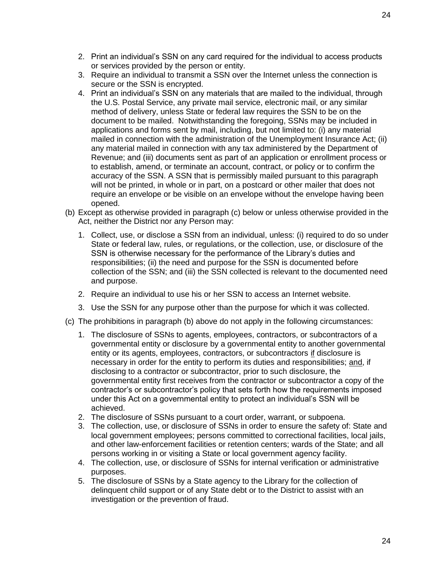- 2. Print an individual's SSN on any card required for the individual to access products or services provided by the person or entity.
- 3. Require an individual to transmit a SSN over the Internet unless the connection is secure or the SSN is encrypted.
- 4. Print an individual's SSN on any materials that are mailed to the individual, through the U.S. Postal Service, any private mail service, electronic mail, or any similar method of delivery, unless State or federal law requires the SSN to be on the document to be mailed. Notwithstanding the foregoing, SSNs may be included in applications and forms sent by mail, including, but not limited to: (i) any material mailed in connection with the administration of the Unemployment Insurance Act; (ii) any material mailed in connection with any tax administered by the Department of Revenue; and (iii) documents sent as part of an application or enrollment process or to establish, amend, or terminate an account, contract, or policy or to confirm the accuracy of the SSN. A SSN that is permissibly mailed pursuant to this paragraph will not be printed, in whole or in part, on a postcard or other mailer that does not require an envelope or be visible on an envelope without the envelope having been opened.
- (b) Except as otherwise provided in paragraph (c) below or unless otherwise provided in the Act, neither the District nor any Person may:
	- 1. Collect, use, or disclose a SSN from an individual, unless: (i) required to do so under State or federal law, rules, or regulations, or the collection, use, or disclosure of the SSN is otherwise necessary for the performance of the Library's duties and responsibilities; (ii) the need and purpose for the SSN is documented before collection of the SSN; and (iii) the SSN collected is relevant to the documented need and purpose.
	- 2. Require an individual to use his or her SSN to access an Internet website.
	- 3. Use the SSN for any purpose other than the purpose for which it was collected.
- (c) The prohibitions in paragraph (b) above do not apply in the following circumstances:
	- 1. The disclosure of SSNs to agents, employees, contractors, or subcontractors of a governmental entity or disclosure by a governmental entity to another governmental entity or its agents, employees, contractors, or subcontractors if disclosure is necessary in order for the entity to perform its duties and responsibilities; and, if disclosing to a contractor or subcontractor, prior to such disclosure, the governmental entity first receives from the contractor or subcontractor a copy of the contractor's or subcontractor's policy that sets forth how the requirements imposed under this Act on a governmental entity to protect an individual's SSN will be achieved.
	- 2. The disclosure of SSNs pursuant to a court order, warrant, or subpoena.
	- 3. The collection, use, or disclosure of SSNs in order to ensure the safety of: State and local government employees; persons committed to correctional facilities, local jails, and other law-enforcement facilities or retention centers; wards of the State; and all persons working in or visiting a State or local government agency facility.
	- 4. The collection, use, or disclosure of SSNs for internal verification or administrative purposes.
	- 5. The disclosure of SSNs by a State agency to the Library for the collection of delinquent child support or of any State debt or to the District to assist with an investigation or the prevention of fraud.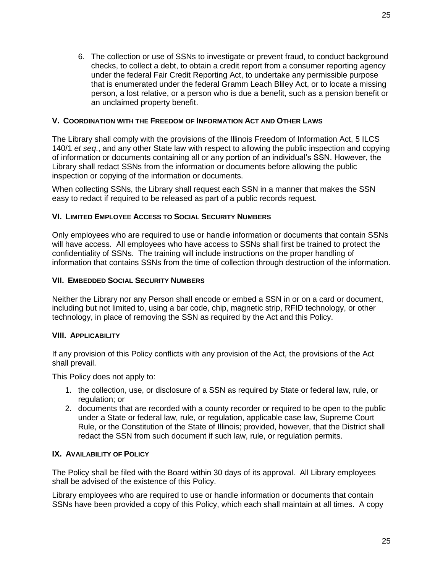25

6. The collection or use of SSNs to investigate or prevent fraud, to conduct background checks, to collect a debt, to obtain a credit report from a consumer reporting agency under the federal Fair Credit Reporting Act, to undertake any permissible purpose that is enumerated under the federal Gramm Leach Bliley Act, or to locate a missing person, a lost relative, or a person who is due a benefit, such as a pension benefit or an unclaimed property benefit.

### **V. COORDINATION WITH THE FREEDOM OF INFORMATION ACT AND OTHER LAWS**

The Library shall comply with the provisions of the Illinois Freedom of Information Act, 5 ILCS 140/1 *et seq*., and any other State law with respect to allowing the public inspection and copying of information or documents containing all or any portion of an individual's SSN. However, the Library shall redact SSNs from the information or documents before allowing the public inspection or copying of the information or documents.

When collecting SSNs, the Library shall request each SSN in a manner that makes the SSN easy to redact if required to be released as part of a public records request.

### **VI. LIMITED EMPLOYEE ACCESS TO SOCIAL SECURITY NUMBERS**

Only employees who are required to use or handle information or documents that contain SSNs will have access. All employees who have access to SSNs shall first be trained to protect the confidentiality of SSNs. The training will include instructions on the proper handling of information that contains SSNs from the time of collection through destruction of the information.

### **VII. EMBEDDED SOCIAL SECURITY NUMBERS**

Neither the Library nor any Person shall encode or embed a SSN in or on a card or document, including but not limited to, using a bar code, chip, magnetic strip, RFID technology, or other technology, in place of removing the SSN as required by the Act and this Policy.

#### **VIII. APPLICABILITY**

If any provision of this Policy conflicts with any provision of the Act, the provisions of the Act shall prevail.

This Policy does not apply to:

- 1. the collection, use, or disclosure of a SSN as required by State or federal law, rule, or regulation; or
- 2. documents that are recorded with a county recorder or required to be open to the public under a State or federal law, rule, or regulation, applicable case law, Supreme Court Rule, or the Constitution of the State of Illinois; provided, however, that the District shall redact the SSN from such document if such law, rule, or regulation permits.

#### **IX. AVAILABILITY OF POLICY**

The Policy shall be filed with the Board within 30 days of its approval. All Library employees shall be advised of the existence of this Policy.

Library employees who are required to use or handle information or documents that contain SSNs have been provided a copy of this Policy, which each shall maintain at all times. A copy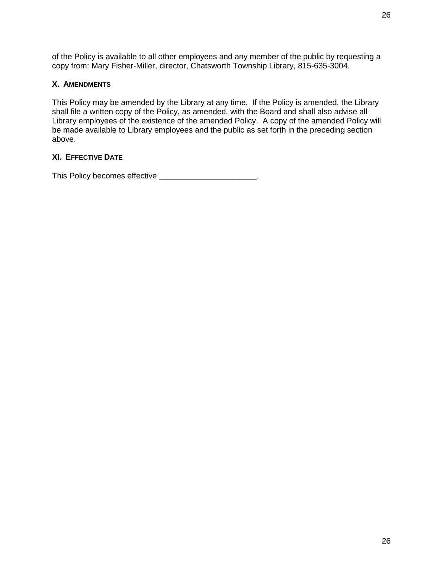of the Policy is available to all other employees and any member of the public by requesting a copy from: Mary Fisher-Miller, director, Chatsworth Township Library, 815-635-3004.

### **X. AMENDMENTS**

This Policy may be amended by the Library at any time. If the Policy is amended, the Library shall file a written copy of the Policy, as amended, with the Board and shall also advise all Library employees of the existence of the amended Policy. A copy of the amended Policy will be made available to Library employees and the public as set forth in the preceding section above.

# **XI. EFFECTIVE DATE**

This Policy becomes effective \_\_\_\_\_\_\_\_\_\_\_\_\_\_\_\_\_\_\_\_\_\_.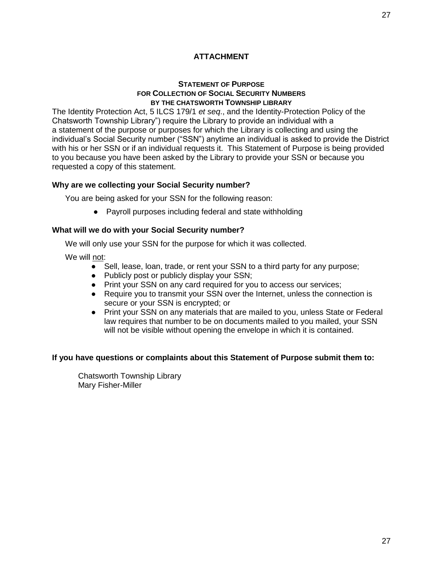# **ATTACHMENT**

#### **STATEMENT OF PURPOSE FOR COLLECTION OF SOCIAL SECURITY NUMBERS BY THE CHATSWORTH TOWNSHIP LIBRARY**

The Identity Protection Act, 5 ILCS 179/1 *et seq*., and the Identity-Protection Policy of the Chatsworth Township Library") require the Library to provide an individual with a a statement of the purpose or purposes for which the Library is collecting and using the individual's Social Security number ("SSN") anytime an individual is asked to provide the District with his or her SSN or if an individual requests it. This Statement of Purpose is being provided to you because you have been asked by the Library to provide your SSN or because you requested a copy of this statement.

### **Why are we collecting your Social Security number?**

You are being asked for your SSN for the following reason:

● Payroll purposes including federal and state withholding

### **What will we do with your Social Security number?**

We will only use your SSN for the purpose for which it was collected.

We will not:

- Sell, lease, loan, trade, or rent your SSN to a third party for any purpose;
- Publicly post or publicly display your SSN;
- Print your SSN on any card required for you to access our services;
- Require you to transmit your SSN over the Internet, unless the connection is secure or your SSN is encrypted; or
- Print your SSN on any materials that are mailed to you, unless State or Federal law requires that number to be on documents mailed to you mailed, your SSN will not be visible without opening the envelope in which it is contained.

#### **If you have questions or complaints about this Statement of Purpose submit them to:**

Chatsworth Township Library Mary Fisher-Miller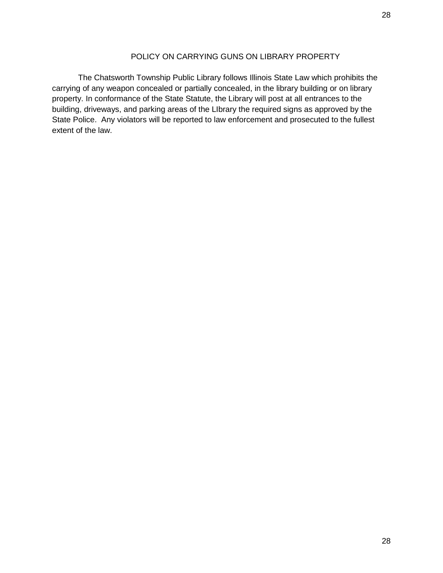The Chatsworth Township Public Library follows Illinois State Law which prohibits the carrying of any weapon concealed or partially concealed, in the library building or on library property. In conformance of the State Statute, the Library will post at all entrances to the building, driveways, and parking areas of the LIbrary the required signs as approved by the State Police. Any violators will be reported to law enforcement and prosecuted to the fullest extent of the law.